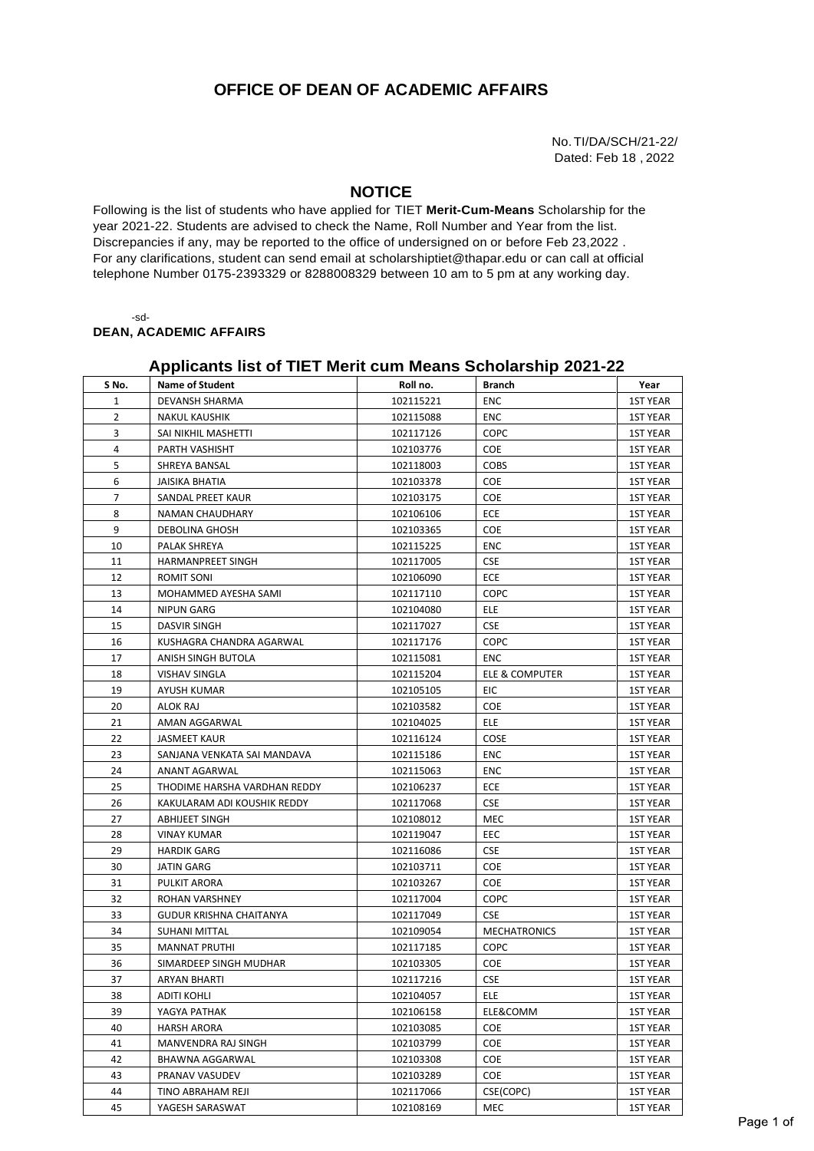## **OFFICE OF DEAN OF ACADEMIC AFFAIRS**

No.TI/DA/SCH/21-22/ Dated: Feb 18 , 2022

## **NOTICE**

Following is the list of students who have applied for TIET **Merit-Cum-Means** Scholarship for the year 2021-22. Students are advised to check the Name, Roll Number and Year from the list. Discrepancies if any, may be reported to the office of undersigned on or before Feb 23,2022 . For any clarifications, student can send email at [scholarshiptiet@thapar.edu](mailto:scholarshiptiet@thapar.edu) or can call at official telephone Number 0175-2393329 or 8288008329 between 10 am to 5 pm at any working day.

-sd-

**DEAN, ACADEMIC AFFAIRS**

## **Applicants list of TIET Merit cum Means Scholarship 2021-22**

| S No.          | <b>Name of Student</b>       | Roll no.  | Branch              | Year            |
|----------------|------------------------------|-----------|---------------------|-----------------|
| 1              | DEVANSH SHARMA               | 102115221 | ENC                 | <b>1ST YEAR</b> |
| $\overline{2}$ | <b>NAKUL KAUSHIK</b>         | 102115088 | ENC                 | <b>1ST YEAR</b> |
| 3              | SAI NIKHIL MASHETTI          | 102117126 | COPC                | <b>1ST YEAR</b> |
| 4              | PARTH VASHISHT               | 102103776 | COE                 | <b>1ST YEAR</b> |
| 5              | SHREYA BANSAL                | 102118003 | <b>COBS</b>         | <b>1ST YEAR</b> |
| 6              | JAISIKA BHATIA               | 102103378 | COE                 | 1ST YEAR        |
| 7              | SANDAL PREET KAUR            | 102103175 | <b>COE</b>          | <b>1ST YEAR</b> |
| 8              | NAMAN CHAUDHARY              | 102106106 | ECE                 | <b>1ST YEAR</b> |
| 9              | DEBOLINA GHOSH               | 102103365 | <b>COE</b>          | <b>1ST YEAR</b> |
| 10             | PALAK SHREYA                 | 102115225 | ENC                 | <b>1ST YEAR</b> |
| 11             | HARMANPREET SINGH            | 102117005 | <b>CSE</b>          | <b>1ST YEAR</b> |
| 12             | ROMIT SONI                   | 102106090 | ECE                 | <b>1ST YEAR</b> |
| 13             | MOHAMMED AYESHA SAMI         | 102117110 | <b>COPC</b>         | <b>1ST YEAR</b> |
| 14             | <b>NIPUN GARG</b>            | 102104080 | ELE                 | <b>1ST YEAR</b> |
| 15             | DASVIR SINGH                 | 102117027 | <b>CSE</b>          | <b>1ST YEAR</b> |
| 16             | KUSHAGRA CHANDRA AGARWAL     | 102117176 | <b>COPC</b>         | <b>1ST YEAR</b> |
| 17             | ANISH SINGH BUTOLA           | 102115081 | ENC                 | <b>1ST YEAR</b> |
| 18             | <b>VISHAV SINGLA</b>         | 102115204 | ELE & COMPUTER      | <b>1ST YEAR</b> |
| 19             | AYUSH KUMAR                  | 102105105 | EIC                 | <b>1ST YEAR</b> |
| 20             | ALOK RAJ                     | 102103582 | <b>COE</b>          | <b>1ST YEAR</b> |
| 21             | AMAN AGGARWAL                | 102104025 | <b>ELE</b>          | <b>1ST YEAR</b> |
| 22             | JASMEET KAUR                 | 102116124 | COSE                | <b>1ST YEAR</b> |
| 23             | SANJANA VENKATA SAI MANDAVA  | 102115186 | ENC                 | <b>1ST YEAR</b> |
| 24             | ANANT AGARWAL                | 102115063 | ENC                 | <b>1ST YEAR</b> |
| 25             | THODIME HARSHA VARDHAN REDDY | 102106237 | ECE                 | <b>1ST YEAR</b> |
| 26             | KAKULARAM ADI KOUSHIK REDDY  | 102117068 | <b>CSE</b>          | <b>1ST YEAR</b> |
| 27             | ABHIJEET SINGH               | 102108012 | MEC                 | <b>1ST YEAR</b> |
| 28             | VINAY KUMAR                  | 102119047 | EEC                 | <b>1ST YEAR</b> |
| 29             | HARDIK GARG                  | 102116086 | <b>CSE</b>          | <b>1ST YEAR</b> |
| 30             | JATIN GARG                   | 102103711 | COE                 | <b>1ST YEAR</b> |
| 31             | PULKIT ARORA                 | 102103267 | <b>COE</b>          | <b>1ST YEAR</b> |
| 32             | ROHAN VARSHNEY               | 102117004 | <b>COPC</b>         | <b>1ST YEAR</b> |
| 33             | GUDUR KRISHNA CHAITANYA      | 102117049 | <b>CSE</b>          | <b>1ST YEAR</b> |
| 34             | <b>SUHANI MITTAL</b>         | 102109054 | <b>MECHATRONICS</b> | <b>1ST YEAR</b> |
| 35             | <b>MANNAT PRUTHI</b>         | 102117185 | COPC                | <b>1ST YEAR</b> |
| 36             | SIMARDEEP SINGH MUDHAR       | 102103305 | COE                 | <b>1ST YEAR</b> |
| 37             | <b>ARYAN BHARTI</b>          | 102117216 | <b>CSE</b>          | <b>1ST YEAR</b> |
| 38             | <b>ADITI KOHLI</b>           | 102104057 | ELE                 | <b>1ST YEAR</b> |
| 39             | YAGYA PATHAK                 | 102106158 | ELE&COMM            | <b>1ST YEAR</b> |
| 40             | HARSH ARORA                  | 102103085 | <b>COE</b>          | <b>1ST YEAR</b> |
| 41             | MANVENDRA RAJ SINGH          | 102103799 | COE                 | <b>1ST YEAR</b> |
| 42             | BHAWNA AGGARWAL              | 102103308 | COE                 | 1ST YEAR        |
| 43             | PRANAV VASUDEV               | 102103289 | <b>COE</b>          | 1ST YEAR        |
| 44             | TINO ABRAHAM REJI            | 102117066 | CSE(COPC)           | <b>1ST YEAR</b> |
| 45             | YAGESH SARASWAT              | 102108169 | MEC                 | <b>1ST YEAR</b> |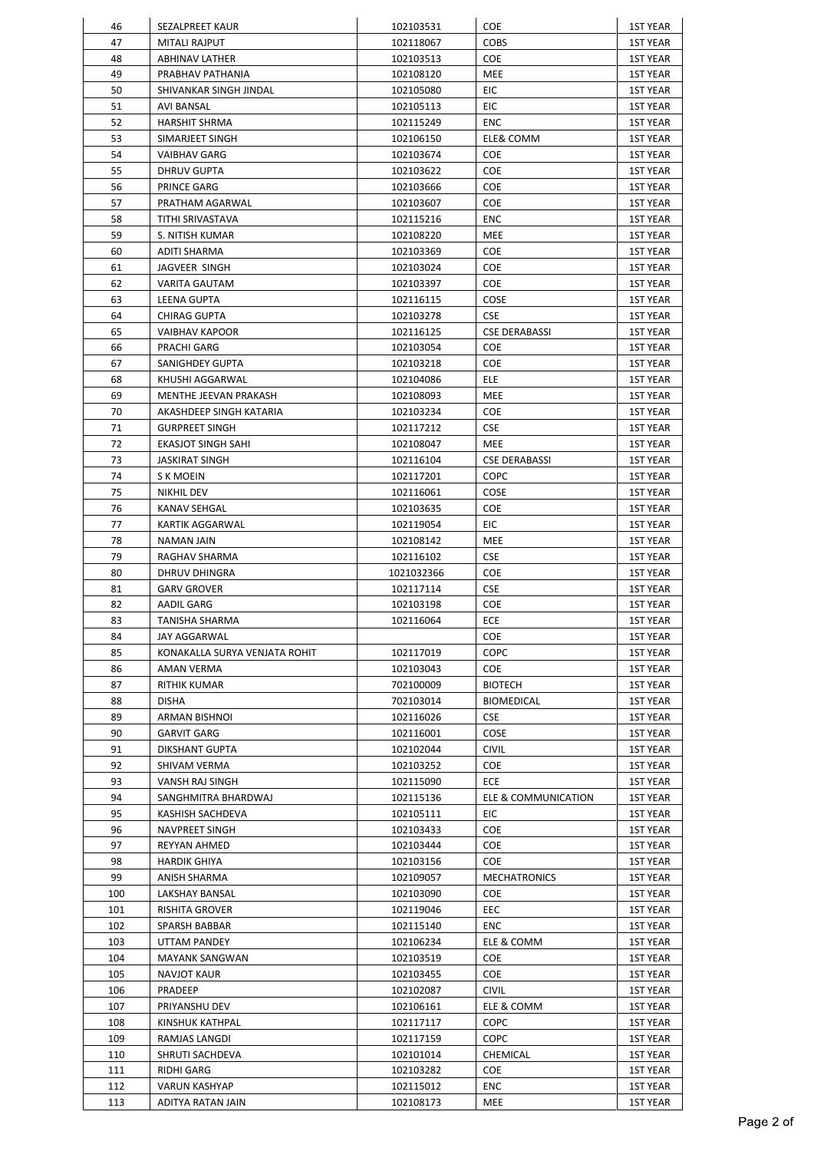| 46         | SEZALPREET KAUR                           | 102103531              | COE                  | <b>1ST YEAR</b>                    |
|------------|-------------------------------------------|------------------------|----------------------|------------------------------------|
| 47         | <b>MITALI RAJPUT</b>                      | 102118067              | <b>COBS</b>          | <b>1ST YEAR</b>                    |
| 48         | ABHINAV LATHER                            | 102103513              | COE                  | 1ST YEAR                           |
| 49         | PRABHAV PATHANIA                          | 102108120              | MEE                  | 1ST YEAR                           |
| 50         | SHIVANKAR SINGH JINDAL                    | 102105080              | EIC                  | 1ST YEAR                           |
| 51         | AVI BANSAL                                | 102105113              | EIC                  | 1ST YEAR                           |
| 52         | <b>HARSHIT SHRMA</b>                      | 102115249              | <b>ENC</b>           | 1ST YEAR                           |
| 53         | SIMARJEET SINGH                           | 102106150              | ELE& COMM            | <b>1ST YEAR</b>                    |
| 54         | <b>VAIBHAV GARG</b>                       | 102103674              | <b>COE</b>           | 1ST YEAR                           |
| 55         | DHRUV GUPTA                               | 102103622              | COE                  | 1ST YEAR                           |
| 56         | PRINCE GARG                               | 102103666              | COE                  | 1ST YEAR                           |
| 57         | PRATHAM AGARWAL                           | 102103607              | <b>COE</b>           | 1ST YEAR                           |
| 58         | TITHI SRIVASTAVA                          | 102115216              | <b>ENC</b>           | 1ST YEAR                           |
| 59         | S. NITISH KUMAR                           | 102108220              | MEE                  | <b>1ST YEAR</b>                    |
| 60         | ADITI SHARMA                              | 102103369              | <b>COE</b>           | 1ST YEAR                           |
| 61         | JAGVEER SINGH                             | 102103024              | COE                  | <b>1ST YEAR</b>                    |
| 62         | <b>VARITA GAUTAM</b>                      | 102103397              | <b>COE</b>           | <b>1ST YEAR</b>                    |
| 63         | <b>LEENA GUPTA</b>                        | 102116115              | COSE                 | <b>1ST YEAR</b>                    |
| 64         | <b>CHIRAG GUPTA</b>                       | 102103278              | <b>CSE</b>           | <b>1ST YEAR</b>                    |
| 65         | <b>VAIBHAV KAPOOR</b>                     | 102116125              | <b>CSE DERABASSI</b> | <b>1ST YEAR</b>                    |
| 66         | PRACHI GARG                               | 102103054              | COE                  | <b>1ST YEAR</b>                    |
| 67         | SANIGHDEY GUPTA                           | 102103218              | <b>COE</b>           | 1ST YEAR                           |
| 68         | KHUSHI AGGARWAL                           | 102104086              | ELE                  | 1ST YEAR                           |
| 69         | MENTHE JEEVAN PRAKASH                     | 102108093              | MEE                  | 1ST YEAR                           |
| 70         | AKASHDEEP SINGH KATARIA                   | 102103234              | COE.                 | 1ST YEAR                           |
| 71         | <b>GURPREET SINGH</b>                     | 102117212              | <b>CSE</b>           | 1ST YEAR                           |
| 72         | EKASJOT SINGH SAHI                        | 102108047              | MEE                  | 1ST YEAR                           |
| 73         | JASKIRAT SINGH                            | 102116104              | <b>CSE DERABASSI</b> | 1ST YEAR                           |
| 74         | S K MOEIN                                 | 102117201              | COPC                 | 1ST YEAR                           |
| 75         | NIKHIL DEV                                | 102116061              | COSE                 | 1ST YEAR                           |
| 76         | KANAV SEHGAL                              | 102103635              | COE.                 | 1ST YEAR                           |
| 77         | KARTIK AGGARWAL                           | 102119054              | EIC                  | <b>1ST YEAR</b>                    |
| 78         | NAMAN JAIN                                | 102108142              | MEE                  | <b>1ST YEAR</b>                    |
| 79         | RAGHAV SHARMA                             | 102116102              | <b>CSE</b>           | 1ST YEAR                           |
| 80         | DHRUV DHINGRA                             | 1021032366             | COE                  | 1ST YEAR                           |
| 81         | <b>GARV GROVER</b>                        | 102117114              | <b>CSE</b>           | 1ST YEAR                           |
| 82         | AADIL GARG                                | 102103198              | COE                  | 1ST YEAR                           |
| 83         | TANISHA SHARMA                            | 102116064              | ECE                  | <b>1ST YEAR</b>                    |
| 84         | <b>JAY AGGARWAL</b>                       |                        | COE                  | <b>1ST YEAR</b>                    |
| 85         | KONAKALLA SURYA VENJATA ROHIT             | 102117019              | COPC                 | <b>1ST YEAR</b>                    |
| 86         | AMAN VERMA                                | 102103043              | <b>COE</b>           | <b>1ST YEAR</b>                    |
| 87         | <b>RITHIK KUMAR</b>                       | 702100009              | <b>BIOTECH</b>       | <b>1ST YEAR</b>                    |
| 88         | <b>DISHA</b>                              | 702103014              | <b>BIOMEDICAL</b>    | <b>1ST YEAR</b>                    |
| 89         | <b>ARMAN BISHNOI</b>                      | 102116026              | <b>CSE</b>           | <b>1ST YEAR</b>                    |
| 90         | <b>GARVIT GARG</b>                        | 102116001              | COSE                 | <b>1ST YEAR</b>                    |
| 91         | DIKSHANT GUPTA                            | 102102044              | <b>CIVIL</b>         | <b>1ST YEAR</b>                    |
| 92         | SHIVAM VERMA                              | 102103252              | COE                  | <b>1ST YEAR</b>                    |
| 93         | VANSH RAJ SINGH                           | 102115090              | ECE                  | <b>1ST YEAR</b>                    |
| 94         | SANGHMITRA BHARDWAJ                       | 102115136              | ELE & COMMUNICATION  | <b>1ST YEAR</b>                    |
| 95         | KASHISH SACHDEVA                          | 102105111              | EIC                  | 1ST YEAR                           |
| 96         | NAVPREET SINGH                            | 102103433              | COE                  | <b>1ST YEAR</b>                    |
| 97         | REYYAN AHMED                              | 102103444              | COE.                 | 1ST YEAR                           |
| 98         | <b>HARDIK GHIYA</b>                       | 102103156              | COE                  | 1ST YEAR                           |
| 99         | ANISH SHARMA                              | 102109057              | <b>MECHATRONICS</b>  | 1ST YEAR                           |
| 100        | LAKSHAY BANSAL                            | 102103090              | COE                  | 1ST YEAR                           |
| 101        | RISHITA GROVER                            | 102119046              | EEC                  | <b>1ST YEAR</b>                    |
| 102        | SPARSH BABBAR                             | 102115140              | <b>ENC</b>           | <b>1ST YEAR</b>                    |
| 103        | UTTAM PANDEY                              | 102106234              | ELE & COMM           | <b>1ST YEAR</b>                    |
| 104        | <b>MAYANK SANGWAN</b>                     | 102103519              | COE                  | 1ST YEAR                           |
| 105        | NAVJOT KAUR                               | 102103455              | COE                  | <b>1ST YEAR</b>                    |
| 106        | PRADEEP                                   | 102102087              | <b>CIVIL</b>         | 1ST YEAR                           |
| 107        | PRIYANSHU DEV                             | 102106161              | ELE & COMM           | 1ST YEAR                           |
| 108        | KINSHUK KATHPAL                           | 102117117              | COPC                 | <b>1ST YEAR</b>                    |
| 109        | RAMJAS LANGDI                             | 102117159              | <b>COPC</b>          | <b>1ST YEAR</b>                    |
| 110        | SHRUTI SACHDEVA                           | 102101014              | CHEMICAL             | <b>1ST YEAR</b>                    |
|            |                                           |                        |                      |                                    |
| 111        | RIDHI GARG                                | 102103282              | COE                  | <b>1ST YEAR</b>                    |
| 112<br>113 | <b>VARUN KASHYAP</b><br>ADITYA RATAN JAIN | 102115012<br>102108173 | <b>ENC</b><br>MEE    | <b>1ST YEAR</b><br><b>1ST YEAR</b> |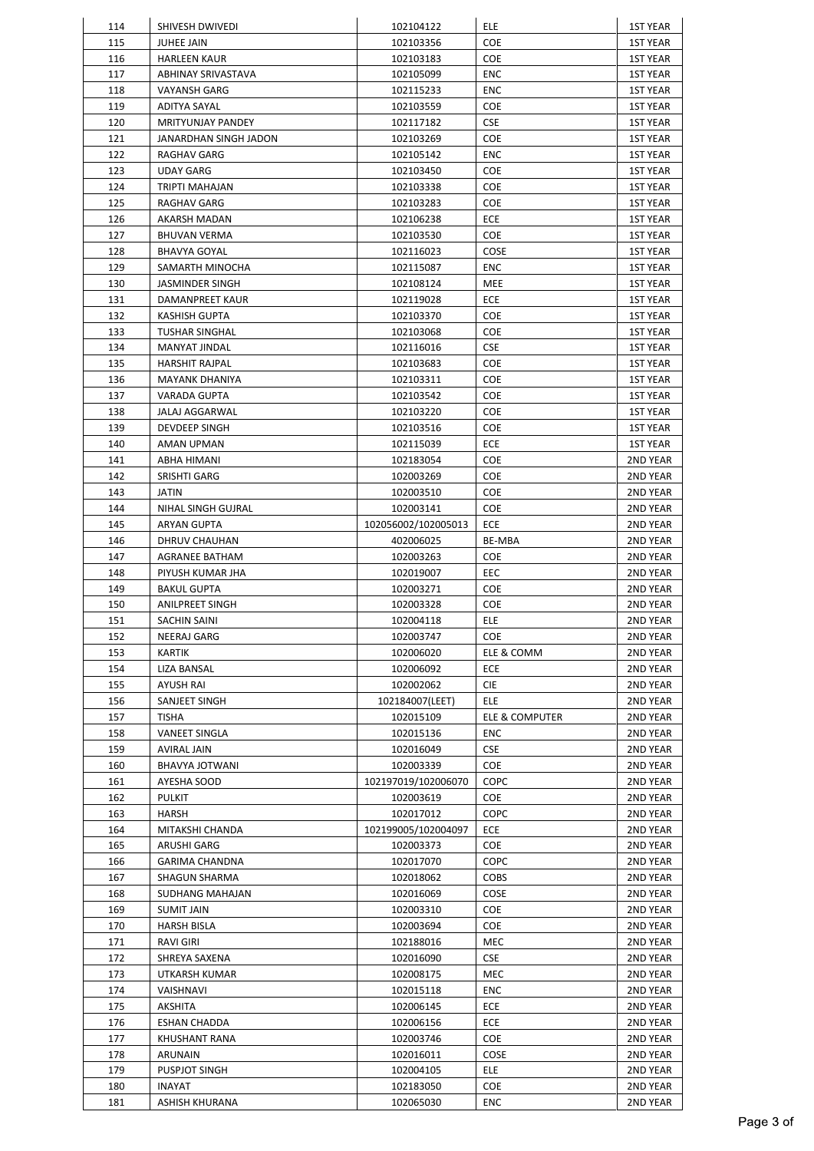| 114        | SHIVESH DWIVEDI             | 102104122              | ELE                       | <b>1ST YEAR</b>      |
|------------|-----------------------------|------------------------|---------------------------|----------------------|
| 115        | <b>JUHEE JAIN</b>           | 102103356              | COE                       | <b>1ST YEAR</b>      |
| 116        | <b>HARLEEN KAUR</b>         | 102103183              | COE                       | 1ST YEAR             |
| 117        | ABHINAY SRIVASTAVA          | 102105099              | ENC                       | 1ST YEAR             |
| 118        | <b>VAYANSH GARG</b>         | 102115233              | ENC                       | 1ST YEAR             |
| 119        | ADITYA SAYAL                | 102103559              | COE                       | 1ST YEAR             |
| 120        | <b>MRITYUNJAY PANDEY</b>    | 102117182              | <b>CSE</b>                | <b>1ST YEAR</b>      |
| 121        | JANARDHAN SINGH JADON       | 102103269              | COE                       | 1ST YEAR             |
| 122        | RAGHAV GARG                 | 102105142              | ENC                       | <b>1ST YEAR</b>      |
| 123        | <b>UDAY GARG</b>            | 102103450              | COE                       | <b>1ST YEAR</b>      |
| 124        | TRIPTI MAHAJAN              | 102103338              | <b>COE</b>                | 1ST YEAR             |
| 125        | RAGHAV GARG                 | 102103283              | COE                       | 1ST YEAR             |
| 126        | AKARSH MADAN                | 102106238              | ECE                       | 1ST YEAR             |
| 127        | <b>BHUVAN VERMA</b>         | 102103530              | COE                       | 1ST YEAR             |
| 128        | BHAVYA GOYAL                | 102116023              | COSE                      | 1ST YEAR             |
| 129        | SAMARTH MINOCHA             | 102115087              | <b>ENC</b>                | <b>1ST YEAR</b>      |
| 130        | JASMINDER SINGH             | 102108124              | MEE                       | <b>1ST YEAR</b>      |
| 131        | DAMANPREET KAUR             | 102119028              | ECE                       | <b>1ST YEAR</b>      |
| 132        | <b>KASHISH GUPTA</b>        | 102103370              | COE                       | <b>1ST YEAR</b>      |
| 133        | <b>TUSHAR SINGHAL</b>       | 102103068              | COE                       | <b>1ST YEAR</b>      |
| 134        | MANYAT JINDAL               | 102116016              | <b>CSE</b>                | 1ST YEAR             |
| 135        | <b>HARSHIT RAJPAL</b>       | 102103683              | COE                       | <b>1ST YEAR</b>      |
| 136        | MAYANK DHANIYA              | 102103311              | COE                       | <b>1ST YEAR</b>      |
| 137        | <b>VARADA GUPTA</b>         | 102103542              | COE                       | 1ST YEAR             |
| 138        | JALAJ AGGARWAL              | 102103220              | COE                       | 1ST YEAR             |
| 139        | DEVDEEP SINGH               | 102103516              | COE                       | 1ST YEAR             |
| 140        | AMAN UPMAN                  | 102115039              | ECE                       | 1ST YEAR             |
| 141<br>142 | ABHA HIMANI<br>SRISHTI GARG | 102183054<br>102003269 | <b>COE</b><br><b>COE</b>  | 2ND YEAR<br>2ND YEAR |
| 143        | JATIN                       | 102003510              | <b>COE</b>                | 2ND YEAR             |
| 144        | NIHAL SINGH GUJRAL          | 102003141              | COE                       | 2ND YEAR             |
| 145        | ARYAN GUPTA                 | 102056002/102005013    | ECE                       | 2ND YEAR             |
| 146        | DHRUV CHAUHAN               | 402006025              | BE-MBA                    | 2ND YEAR             |
| 147        | AGRANEE BATHAM              | 102003263              | <b>COE</b>                | 2ND YEAR             |
| 148        | PIYUSH KUMAR JHA            | 102019007              | EEC                       | 2ND YEAR             |
| 149        | <b>BAKUL GUPTA</b>          | 102003271              | COE                       | 2ND YEAR             |
| 150        | <b>ANILPREET SINGH</b>      | 102003328              | COE                       | 2ND YEAR             |
| 151        | SACHIN SAINI                | 102004118              | <b>ELE</b>                | 2ND YEAR             |
| 152        | NEERAJ GARG                 | 102003747              | COE                       | 2ND YEAR             |
| 153        | <b>KARTIK</b>               | 102006020              | ELE & COMM                | 2ND YEAR             |
| 154        | LIZA BANSAL                 | 102006092              | ECE                       | 2ND YEAR             |
| 155        | <b>AYUSH RAI</b>            | 102002062              | <b>CIE</b>                | 2ND YEAR             |
| 156        | SANJEET SINGH               | 102184007(LEET)        | ELE                       | 2ND YEAR             |
| 157        | <b>TISHA</b>                | 102015109              | <b>ELE &amp; COMPUTER</b> | 2ND YEAR             |
| 158        | <b>VANEET SINGLA</b>        | 102015136              | ENC                       | 2ND YEAR             |
| 159        | <b>AVIRAL JAIN</b>          | 102016049              | <b>CSE</b>                | 2ND YEAR             |
| 160        | BHAVYA JOTWANI              | 102003339              | COE                       | 2ND YEAR             |
| 161        | AYESHA SOOD                 | 102197019/102006070    | COPC                      | 2ND YEAR             |
| 162        | PULKIT                      | 102003619              | <b>COE</b>                | 2ND YEAR             |
| 163        | HARSH                       | 102017012              | COPC                      | 2ND YEAR             |
| 164        | MITAKSHI CHANDA             | 102199005/102004097    | ECE                       | 2ND YEAR             |
| 165        | ARUSHI GARG                 | 102003373              | <b>COE</b>                | 2ND YEAR             |
| 166        | <b>GARIMA CHANDNA</b>       | 102017070              | COPC                      | 2ND YEAR             |
| 167        | SHAGUN SHARMA               | 102018062              | <b>COBS</b>               | 2ND YEAR             |
| 168        | SUDHANG MAHAJAN             | 102016069              | COSE                      | 2ND YEAR             |
| 169        | <b>SUMIT JAIN</b>           | 102003310              | COE                       | 2ND YEAR             |
| 170        | HARSH BISLA                 | 102003694              | COE                       | 2ND YEAR             |
| 171        | RAVI GIRI                   | 102188016              | MEC                       | 2ND YEAR             |
| 172        | SHREYA SAXENA               | 102016090              | <b>CSE</b>                | 2ND YEAR             |
| 173        | UTKARSH KUMAR               | 102008175              | MEC                       | 2ND YEAR             |
| 174        | VAISHNAVI                   | 102015118              | ENC                       | 2ND YEAR             |
| 175        | <b>AKSHITA</b>              | 102006145              | ECE                       | 2ND YEAR             |
| 176        | ESHAN CHADDA                | 102006156              | ECE                       | 2ND YEAR             |
| 177        | KHUSHANT RANA               | 102003746              | <b>COE</b>                | 2ND YEAR             |
| 178<br>179 | ARUNAIN<br>PUSPJOT SINGH    | 102016011<br>102004105 | COSE<br><b>ELE</b>        | 2ND YEAR<br>2ND YEAR |
| 180        | INAYAT                      | 102183050              | <b>COE</b>                | 2ND YEAR             |
| 181        | ASHISH KHURANA              | 102065030              | ENC                       | 2ND YEAR             |
|            |                             |                        |                           |                      |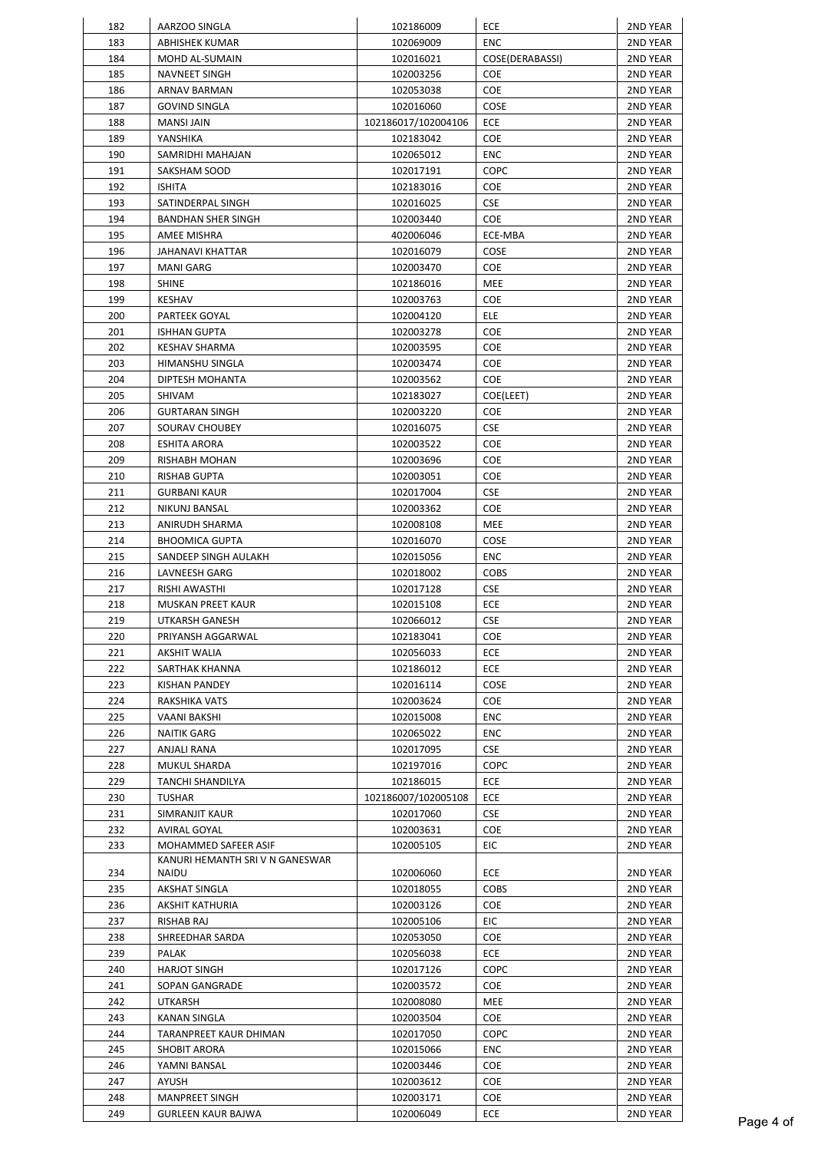| 182 | AARZOO SINGLA                   | 102186009           | ECE             | 2ND YEAR |
|-----|---------------------------------|---------------------|-----------------|----------|
| 183 | ABHISHEK KUMAR                  | 102069009           | ENC             | 2ND YEAR |
| 184 | MOHD AL-SUMAIN                  | 102016021           | COSE(DERABASSI) | 2ND YEAR |
| 185 | NAVNEET SINGH                   | 102003256           | <b>COE</b>      | 2ND YEAR |
| 186 | ARNAV BARMAN                    | 102053038           | COE             | 2ND YEAR |
| 187 | <b>GOVIND SINGLA</b>            | 102016060           | COSE            | 2ND YEAR |
| 188 | MANSI JAIN                      | 102186017/102004106 | ECE             | 2ND YEAR |
| 189 | YANSHIKA                        | 102183042           | <b>COE</b>      | 2ND YEAR |
| 190 | SAMRIDHI MAHAJAN                | 102065012           | ENC             | 2ND YEAR |
| 191 | SAKSHAM SOOD                    | 102017191           | COPC            | 2ND YEAR |
| 192 | <b>ISHITA</b>                   | 102183016           | COE             | 2ND YEAR |
| 193 | SATINDERPAL SINGH               | 102016025           | <b>CSE</b>      | 2ND YEAR |
| 194 | BANDHAN SHER SINGH              | 102003440           | COE             | 2ND YEAR |
| 195 | AMEE MISHRA                     | 402006046           | ECE-MBA         | 2ND YEAR |
| 196 | JAHANAVI KHATTAR                | 102016079           | COSE            | 2ND YEAR |
| 197 | MANI GARG                       | 102003470           | COE             | 2ND YEAR |
| 198 | <b>SHINE</b>                    | 102186016           | <b>MEE</b>      | 2ND YEAR |
| 199 | KESHAV                          | 102003763           | COE             | 2ND YEAR |
| 200 | PARTEEK GOYAL                   | 102004120           | ELE             | 2ND YEAR |
| 201 | <b>ISHHAN GUPTA</b>             | 102003278           | COE             | 2ND YEAR |
| 202 | KESHAV SHARMA                   | 102003595           | COE             | 2ND YEAR |
|     |                                 |                     |                 |          |
| 203 | HIMANSHU SINGLA                 | 102003474           | COE             | 2ND YEAR |
| 204 | DIPTESH MOHANTA                 | 102003562           | COE             | 2ND YEAR |
| 205 | SHIVAM                          | 102183027           | COE(LEET)       | 2ND YEAR |
| 206 | <b>GURTARAN SINGH</b>           | 102003220           | COE             | 2ND YEAR |
| 207 | SOURAV CHOUBEY                  | 102016075           | <b>CSE</b>      | 2ND YEAR |
| 208 | ESHITA ARORA                    | 102003522           | COE             | 2ND YEAR |
| 209 | RISHABH MOHAN                   | 102003696           | <b>COE</b>      | 2ND YEAR |
| 210 | RISHAB GUPTA                    | 102003051           | <b>COE</b>      | 2ND YEAR |
| 211 | <b>GURBANI KAUR</b>             | 102017004           | <b>CSE</b>      | 2ND YEAR |
| 212 | NIKUNJ BANSAL                   | 102003362           | COE             | 2ND YEAR |
| 213 | ANIRUDH SHARMA                  | 102008108           | MEE             | 2ND YEAR |
| 214 | <b>BHOOMICA GUPTA</b>           | 102016070           | COSE            | 2ND YEAR |
| 215 | SANDEEP SINGH AULAKH            | 102015056           | ENC             | 2ND YEAR |
| 216 | LAVNEESH GARG                   | 102018002           | <b>COBS</b>     | 2ND YEAR |
| 217 | RISHI AWASTHI                   | 102017128           | <b>CSE</b>      | 2ND YEAR |
| 218 | MUSKAN PREET KAUR               | 102015108           | ECE             | 2ND YEAR |
| 219 | UTKARSH GANESH                  | 102066012           | <b>CSE</b>      | 2ND YEAR |
| 220 | PRIYANSH AGGARWAL               | 102183041           | <b>COE</b>      | 2ND YEAR |
| 221 | AKSHIT WALIA                    | 102056033           | ECE             | 2ND YEAR |
| 222 | SARTHAK KHANNA                  | 102186012           | <b>ECE</b>      | 2ND YEAR |
| 223 | KISHAN PANDEY                   | 102016114           | COSE            | 2ND YEAR |
| 224 | RAKSHIKA VATS                   | 102003624           | COE             | 2ND YEAR |
| 225 | VAANI BAKSHI                    | 102015008           | ENC             | 2ND YEAR |
| 226 | NAITIK GARG                     | 102065022           | ENC             | 2ND YEAR |
| 227 | ANJALI RANA                     | 102017095           | <b>CSE</b>      | 2ND YEAR |
| 228 | MUKUL SHARDA                    | 102197016           | COPC            | 2ND YEAR |
| 229 | <b>TANCHI SHANDILYA</b>         | 102186015           | ECE             | 2ND YEAR |
| 230 | <b>TUSHAR</b>                   | 102186007/102005108 | ECE             | 2ND YEAR |
| 231 | SIMRANJIT KAUR                  | 102017060           | <b>CSE</b>      | 2ND YEAR |
| 232 | AVIRAL GOYAL                    | 102003631           | COE             | 2ND YEAR |
| 233 | MOHAMMED SAFEER ASIF            | 102005105           | EIC             | 2ND YEAR |
|     | KANURI HEMANTH SRI V N GANESWAR |                     |                 |          |
| 234 | NAIDU                           | 102006060           | ECE             | 2ND YEAR |
| 235 | AKSHAT SINGLA                   | 102018055           | <b>COBS</b>     | 2ND YEAR |
| 236 | AKSHIT KATHURIA                 | 102003126           | COE             | 2ND YEAR |
| 237 | RISHAB RAJ                      | 102005106           | EIC             | 2ND YEAR |
| 238 | SHREEDHAR SARDA                 | 102053050           | COE             | 2ND YEAR |
| 239 | PALAK                           | 102056038           | ECE             | 2ND YEAR |
| 240 | <b>HARJOT SINGH</b>             | 102017126           | COPC            | 2ND YEAR |
| 241 | SOPAN GANGRADE                  | 102003572           | <b>COE</b>      | 2ND YEAR |
| 242 | UTKARSH                         | 102008080           | MEE             | 2ND YEAR |
| 243 | KANAN SINGLA                    | 102003504           | COE             | 2ND YEAR |
| 244 | TARANPREET KAUR DHIMAN          | 102017050           | COPC            | 2ND YEAR |
| 245 | SHOBIT ARORA                    | 102015066           | <b>ENC</b>      | 2ND YEAR |
| 246 | YAMNI BANSAL                    | 102003446           | COE             | 2ND YEAR |
| 247 | AYUSH                           | 102003612           | COE             | 2ND YEAR |
| 248 | MANPREET SINGH                  | 102003171           | COE             | 2ND YEAR |
| 249 | <b>GURLEEN KAUR BAJWA</b>       | 102006049           | ECE             | 2ND YEAR |
|     |                                 |                     |                 |          |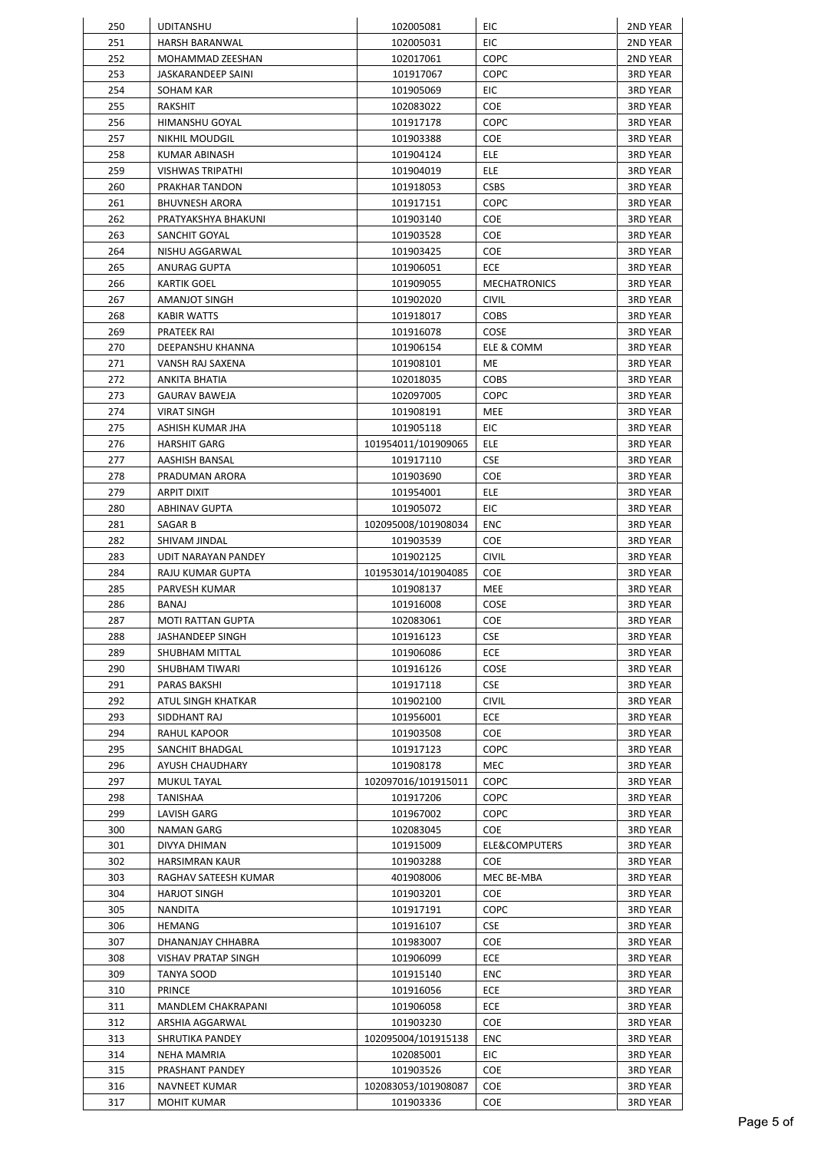| 250 | <b>UDITANSHU</b>      | 102005081           | EIC                 | 2ND YEAR        |
|-----|-----------------------|---------------------|---------------------|-----------------|
| 251 | HARSH BARANWAL        | 102005031           | EIC                 | 2ND YEAR        |
| 252 | MOHAMMAD ZEESHAN      | 102017061           | COPC                | 2ND YEAR        |
| 253 | JASKARANDEEP SAINI    | 101917067           | COPC                | 3RD YEAR        |
| 254 | SOHAM KAR             | 101905069           | EIC                 | 3RD YEAR        |
| 255 | RAKSHIT               | 102083022           | <b>COE</b>          | <b>3RD YEAR</b> |
| 256 | HIMANSHU GOYAL        | 101917178           | COPC                | 3RD YEAR        |
| 257 | NIKHIL MOUDGIL        | 101903388           | COE                 | 3RD YEAR        |
| 258 | KUMAR ABINASH         | 101904124           | <b>ELE</b>          | 3RD YEAR        |
| 259 | VISHWAS TRIPATHI      | 101904019           | ELE                 | <b>3RD YEAR</b> |
| 260 | PRAKHAR TANDON        | 101918053           | <b>CSBS</b>         | <b>3RD YEAR</b> |
| 261 | <b>BHUVNESH ARORA</b> | 101917151           | COPC                | <b>3RD YEAR</b> |
| 262 | PRATYAKSHYA BHAKUNI   | 101903140           | COE                 | <b>3RD YEAR</b> |
| 263 | SANCHIT GOYAL         | 101903528           | COE                 | <b>3RD YEAR</b> |
| 264 | NISHU AGGARWAL        | 101903425           | COE                 | <b>3RD YEAR</b> |
| 265 | ANURAG GUPTA          | 101906051           | ECE                 | <b>3RD YEAR</b> |
| 266 | KARTIK GOEL           | 101909055           | <b>MECHATRONICS</b> | <b>3RD YEAR</b> |
| 267 | AMANJOT SINGH         | 101902020           | <b>CIVIL</b>        | <b>3RD YEAR</b> |
| 268 | <b>KABIR WATTS</b>    | 101918017           | <b>COBS</b>         | <b>3RD YEAR</b> |
| 269 | PRATEEK RAI           | 101916078           | COSE                | 3RD YEAR        |
| 270 | DEEPANSHU KHANNA      | 101906154           | ELE & COMM          | 3RD YEAR        |
| 271 | VANSH RAJ SAXENA      | 101908101           | ME                  | <b>3RD YEAR</b> |
| 272 | ANKITA BHATIA         | 102018035           | <b>COBS</b>         | <b>3RD YEAR</b> |
| 273 | <b>GAURAV BAWEJA</b>  | 102097005           | COPC                | 3RD YEAR        |
| 274 | <b>VIRAT SINGH</b>    | 101908191           | MEE                 | <b>3RD YEAR</b> |
| 275 | ASHISH KUMAR JHA      | 101905118           | EIC                 | <b>3RD YEAR</b> |
| 276 | <b>HARSHIT GARG</b>   | 101954011/101909065 | ELE                 | 3RD YEAR        |
| 277 | AASHISH BANSAL        | 101917110           | <b>CSE</b>          | 3RD YEAR        |
| 278 | PRADUMAN ARORA        | 101903690           | <b>COE</b>          | 3RD YEAR        |
| 279 | ARPIT DIXIT           | 101954001           | <b>ELE</b>          | 3RD YEAR        |
| 280 | ABHINAV GUPTA         | 101905072           | EIC                 | <b>3RD YEAR</b> |
| 281 | SAGAR B               | 102095008/101908034 | ENC                 | 3RD YEAR        |
| 282 | SHIVAM JINDAL         | 101903539           | COE                 | 3RD YEAR        |
| 283 | UDIT NARAYAN PANDEY   | 101902125           | <b>CIVIL</b>        | <b>3RD YEAR</b> |
| 284 | RAJU KUMAR GUPTA      | 101953014/101904085 | COE                 | <b>3RD YEAR</b> |
| 285 | PARVESH KUMAR         | 101908137           | MEE                 | <b>3RD YEAR</b> |
| 286 | BANAJ                 | 101916008           | COSE                | <b>3RD YEAR</b> |
| 287 | MOTI RATTAN GUPTA     | 102083061           | COE                 | <b>3RD YEAR</b> |
| 288 | JASHANDEEP SINGH      | 101916123           | <b>CSE</b>          | <b>3RD YEAR</b> |
| 289 | SHUBHAM MITTAL        | 101906086           | <b>ECE</b>          | <b>3RD YEAR</b> |
| 290 | SHUBHAM TIWARI        | 101916126           | COSE                | 3RD YEAR        |
| 291 | PARAS BAKSHI          | 101917118           | <b>CSE</b>          | 3RD YEAR        |
| 292 | ATUL SINGH KHATKAR    | 101902100           | <b>CIVIL</b>        | <b>3RD YEAR</b> |
| 293 | SIDDHANT RAJ          | 101956001           | <b>ECE</b>          | <b>3RD YEAR</b> |
| 294 | RAHUL KAPOOR          | 101903508           | <b>COE</b>          | <b>3RD YEAR</b> |
| 295 | SANCHIT BHADGAL       | 101917123           | <b>COPC</b>         | <b>3RD YEAR</b> |
| 296 | AYUSH CHAUDHARY       | 101908178           | MEC                 | <b>3RD YEAR</b> |
| 297 | <b>MUKUL TAYAL</b>    | 102097016/101915011 | COPC                | <b>3RD YEAR</b> |
| 298 | TANISHAA              | 101917206           | COPC                | 3RD YEAR        |
| 299 | LAVISH GARG           | 101967002           | COPC                | 3RD YEAR        |
| 300 | NAMAN GARG            | 102083045           | COE                 | 3RD YEAR        |
| 301 | DIVYA DHIMAN          | 101915009           | ELE&COMPUTERS       | 3RD YEAR        |
| 302 | <b>HARSIMRAN KAUR</b> | 101903288           | <b>COE</b>          | 3RD YEAR        |
| 303 | RAGHAV SATEESH KUMAR  | 401908006           | MEC BE-MBA          | 3RD YEAR        |
| 304 | <b>HARJOT SINGH</b>   | 101903201           | COE                 | 3RD YEAR        |
| 305 | NANDITA               | 101917191           | COPC                | 3RD YEAR        |
| 306 | <b>HEMANG</b>         | 101916107           | <b>CSE</b>          | 3RD YEAR        |
| 307 | DHANANJAY CHHABRA     | 101983007           | COE                 | 3RD YEAR        |
| 308 | VISHAV PRATAP SINGH   | 101906099           | ECE                 | 3RD YEAR        |
| 309 | TANYA SOOD            | 101915140           | ENC                 | 3RD YEAR        |
| 310 | PRINCE                | 101916056           | <b>ECE</b>          | 3RD YEAR        |
| 311 | MANDLEM CHAKRAPANI    | 101906058           | ECE                 | <b>3RD YEAR</b> |
| 312 | ARSHIA AGGARWAL       | 101903230           | <b>COE</b>          | 3RD YEAR        |
| 313 | SHRUTIKA PANDEY       | 102095004/101915138 | ENC                 | 3RD YEAR        |
| 314 | NEHA MAMRIA           | 102085001           | EIC                 | 3RD YEAR        |
| 315 | PRASHANT PANDEY       | 101903526           | COE                 | 3RD YEAR        |
| 316 | NAVNEET KUMAR         | 102083053/101908087 | <b>COE</b>          | 3RD YEAR        |
| 317 | MOHIT KUMAR           | 101903336           | COE                 | 3RD YEAR        |
|     |                       |                     |                     |                 |